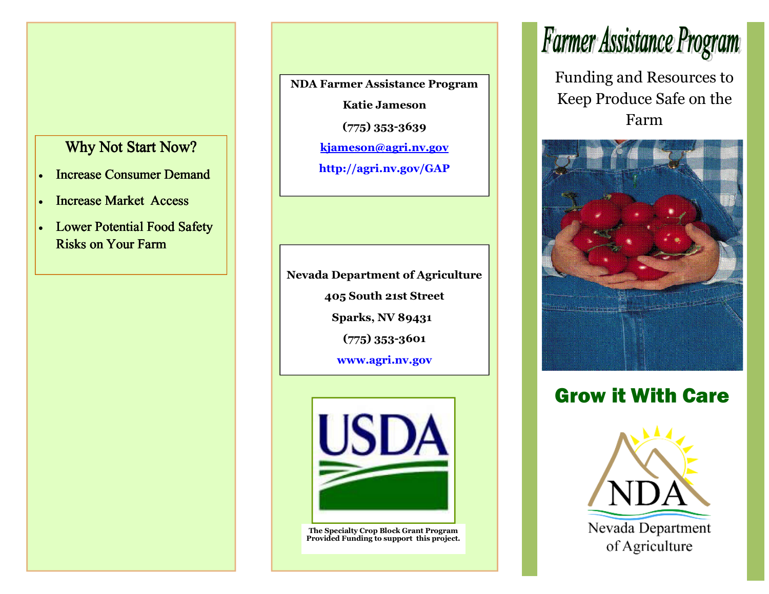### Why Not Start Now?

- Increase Consumer Demand
- Increase Market Access
- Lower Potential Food Safety **Risks on Your Farm**

**NDA Farmer Assistance Program Katie Jameson (775) 353-3639** 

**kjameson@agri.nv.gov**

**http://agri.nv.gov/GAP** 

**Nevada Department of Agriculture 405 South 21st Street Sparks, NV 89431 (775) 353-3601 www.agri.nv.gov** 



**The Specialty Crop Block Grant Program Provided Funding to support this project.** 

## Farmer Assistance Program

Funding and Resources to Keep Produce Safe on the Farm



### Grow it With Care

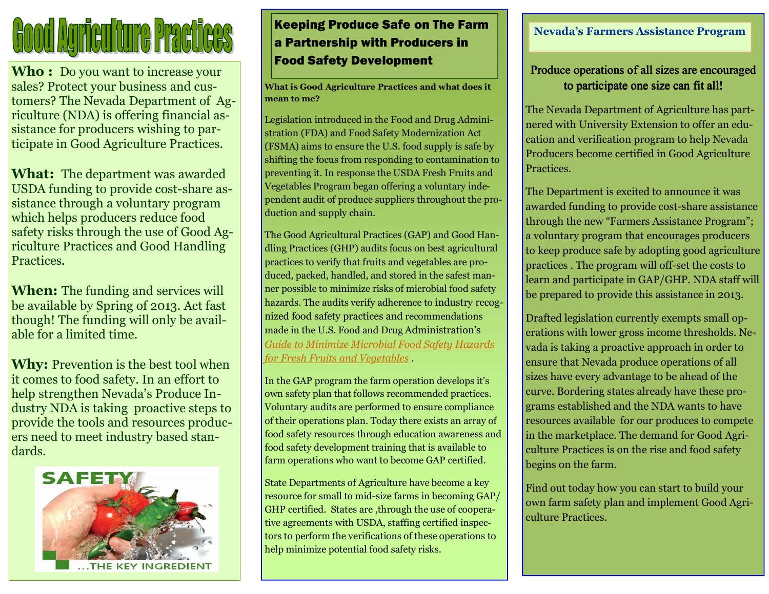# **Cood Agriculture Practices**

**Who :** Do you want to increase your sales? Protect your business and customers? The Nevada Department of Agriculture (NDA) is offering financial assistance for producers wishing to participate in Good Agriculture Practices.

**What:** The department was awarded USDA funding to provide cost-share assistance through a voluntary program which helps producers reduce food safety risks through the use of Good Agriculture Practices and Good Handling Practices*.* 

**When:** The funding and services will be available by Spring of 2013. Act fast though! The funding will only be available for a limited time.

**Why:** Prevention is the best tool when it comes to food safety. In an effort to help strengthen Nevada's Produce Industry NDA is taking proactive steps to provide the tools and resources producers need to meet industry based standards.



### Keeping Produce Safe on The Farm a Partnership with Producers in Food Safety Development

**What is Good Agriculture Practices and what does itmean to me?** 

Legislation introduced in the Food and Drug Administration (FDA) and Food Safety Modernization Act (FSMA) aims to ensure the U.S. food supply is safe by shifting the focus from responding to contamination to preventing it. In response the USDA Fresh Fruits and Vegetables Program began offering a voluntary independent audit of produce suppliers throughout the production and supply chain.

The Good Agricultural Practices (GAP) and Good Handling Practices (GHP) audits focus on best agricultural practices to verify that fruits and vegetables are produced, packed, handled, and stored in the safest manner possible to minimize risks of microbial food safety hazards. The audits verify adherence to industry recognized food safety practices and recommendations made in the U.S. Food and Drug Administration's *Guide to Minimize Microbial Food Safety Hazards for Fresh Fruits and Vegetables* .

In the GAP program the farm operation develops it's own safety plan that follows recommended practices. Voluntary audits are performed to ensure compliance of their operations plan. Today there exists an array of food safety resources through education awareness and food safety development training that is available to farm operations who want to become GAP certified.

State Departments of Agriculture have become a key resource for small to mid-size farms in becoming GAP/ GHP certified. States are ,through the use of cooperative agreements with USDA, staffing certified inspectors to perform the verifications of these operations to help minimize potential food safety risks.

### **Nevada's Farmers Assistance Program**

### Produce operations of all sizes are encouraged to participate one size can fit all!

The Nevada Department of Agriculture has partnered with University Extension to offer an education and verification program to help Nevada Producers become certified in Good Agriculture Practices.

The Department is excited to announce it was awarded funding to provide cost-share assistance through the new "Farmers Assistance Program"; a voluntary program that encourages producers to keep produce safe by adopting good agriculture practices . The program will off-set the costs to learn and participate in GAP/GHP. NDA staff will be prepared to provide this assistance in 2013.

Drafted legislation currently exempts small operations with lower gross income thresholds. Nevada is taking a proactive approach in order to ensure that Nevada produce operations of all sizes have every advantage to be ahead of the curve. Bordering states already have these programs established and the NDA wants to have resources available for our produces to compete in the marketplace. The demand for Good Agriculture Practices is on the rise and food safety begins on the farm.

Find out today how you can start to build your own farm safety plan and implement Good Agriculture Practices.